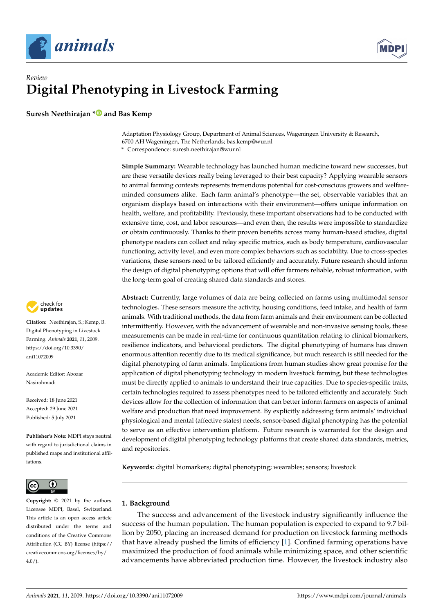



# *Review* **Digital Phenotyping in Livestock Farming**

**Suresh Neethirajan [\\*](https://orcid.org/0000-0003-0990-0235) and Bas Kemp**

Adaptation Physiology Group, Department of Animal Sciences, Wageningen University & Research, 6700 AH Wageningen, The Netherlands; bas.kemp@wur.nl

**\*** Correspondence: suresh.neethirajan@wur.nl

**Simple Summary:** Wearable technology has launched human medicine toward new successes, but are these versatile devices really being leveraged to their best capacity? Applying wearable sensors to animal farming contexts represents tremendous potential for cost-conscious growers and welfareminded consumers alike. Each farm animal's phenotype—the set, observable variables that an organism displays based on interactions with their environment—offers unique information on health, welfare, and profitability. Previously, these important observations had to be conducted with extensive time, cost, and labor resources—and even then, the results were impossible to standardize or obtain continuously. Thanks to their proven benefits across many human-based studies, digital phenotype readers can collect and relay specific metrics, such as body temperature, cardiovascular functioning, activity level, and even more complex behaviors such as sociability. Due to cross-species variations, these sensors need to be tailored efficiently and accurately. Future research should inform the design of digital phenotyping options that will offer farmers reliable, robust information, with the long-term goal of creating shared data standards and stores.

**Abstract:** Currently, large volumes of data are being collected on farms using multimodal sensor technologies. These sensors measure the activity, housing conditions, feed intake, and health of farm animals. With traditional methods, the data from farm animals and their environment can be collected intermittently. However, with the advancement of wearable and non-invasive sensing tools, these measurements can be made in real-time for continuous quantitation relating to clinical biomarkers, resilience indicators, and behavioral predictors. The digital phenotyping of humans has drawn enormous attention recently due to its medical significance, but much research is still needed for the digital phenotyping of farm animals. Implications from human studies show great promise for the application of digital phenotyping technology in modern livestock farming, but these technologies must be directly applied to animals to understand their true capacities. Due to species-specific traits, certain technologies required to assess phenotypes need to be tailored efficiently and accurately. Such devices allow for the collection of information that can better inform farmers on aspects of animal welfare and production that need improvement. By explicitly addressing farm animals' individual physiological and mental (affective states) needs, sensor-based digital phenotyping has the potential to serve as an effective intervention platform. Future research is warranted for the design and development of digital phenotyping technology platforms that create shared data standards, metrics, and repositories.

**Keywords:** digital biomarkers; digital phenotyping; wearables; sensors; livestock

## **1. Background**

The success and advancement of the livestock industry significantly influence the success of the human population. The human population is expected to expand to 9.7 billion by 2050, placing an increased demand for production on livestock farming methods that have already pushed the limits of efficiency [\[1\]](#page-13-0). Confined farming operations have maximized the production of food animals while minimizing space, and other scientific advancements have abbreviated production time. However, the livestock industry also



**Citation:** Neethirajan, S.; Kemp, B. Digital Phenotyping in Livestock Farming. *Animals* **2021**, *11*, 2009. [https://doi.org/10.3390/](https://doi.org/10.3390/ani11072009) [ani11072009](https://doi.org/10.3390/ani11072009)

Academic Editor: Abozar Nasirahmadi

Received: 18 June 2021 Accepted: 29 June 2021 Published: 5 July 2021

**Publisher's Note:** MDPI stays neutral with regard to jurisdictional claims in published maps and institutional affiliations.



**Copyright:** © 2021 by the authors. Licensee MDPI, Basel, Switzerland. This article is an open access article distributed under the terms and conditions of the Creative Commons Attribution (CC BY) license (https:/[/](https://creativecommons.org/licenses/by/4.0/) [creativecommons.org/licenses/by/](https://creativecommons.org/licenses/by/4.0/)  $4.0/$ ).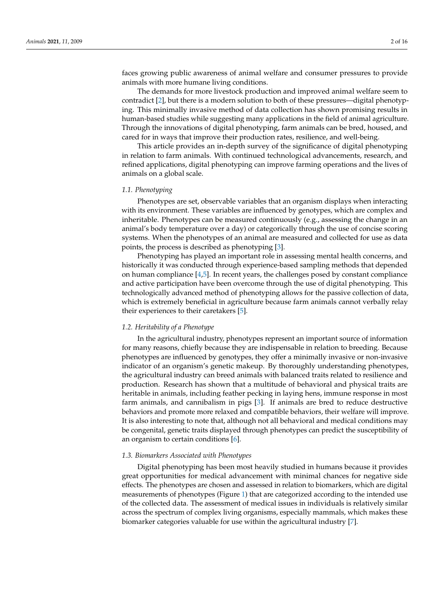faces growing public awareness of animal welfare and consumer pressures to provide animals with more humane living conditions.

The demands for more livestock production and improved animal welfare seem to contradict [\[2\]](#page-13-1), but there is a modern solution to both of these pressures—digital phenotyping. This minimally invasive method of data collection has shown promising results in human-based studies while suggesting many applications in the field of animal agriculture. Through the innovations of digital phenotyping, farm animals can be bred, housed, and cared for in ways that improve their production rates, resilience, and well-being.

This article provides an in-depth survey of the significance of digital phenotyping in relation to farm animals. With continued technological advancements, research, and refined applications, digital phenotyping can improve farming operations and the lives of animals on a global scale.

#### *1.1. Phenotyping*

Phenotypes are set, observable variables that an organism displays when interacting with its environment. These variables are influenced by genotypes, which are complex and inheritable. Phenotypes can be measured continuously (e.g., assessing the change in an animal's body temperature over a day) or categorically through the use of concise scoring systems. When the phenotypes of an animal are measured and collected for use as data points, the process is described as phenotyping [\[3\]](#page-13-2).

Phenotyping has played an important role in assessing mental health concerns, and historically it was conducted through experience-based sampling methods that depended on human compliance [\[4,](#page-13-3)[5\]](#page-13-4). In recent years, the challenges posed by constant compliance and active participation have been overcome through the use of digital phenotyping. This technologically advanced method of phenotyping allows for the passive collection of data, which is extremely beneficial in agriculture because farm animals cannot verbally relay their experiences to their caretakers [\[5\]](#page-13-4).

#### *1.2. Heritability of a Phenotype*

In the agricultural industry, phenotypes represent an important source of information for many reasons, chiefly because they are indispensable in relation to breeding. Because phenotypes are influenced by genotypes, they offer a minimally invasive or non-invasive indicator of an organism's genetic makeup. By thoroughly understanding phenotypes, the agricultural industry can breed animals with balanced traits related to resilience and production. Research has shown that a multitude of behavioral and physical traits are heritable in animals, including feather pecking in laying hens, immune response in most farm animals, and cannibalism in pigs [\[3\]](#page-13-2). If animals are bred to reduce destructive behaviors and promote more relaxed and compatible behaviors, their welfare will improve. It is also interesting to note that, although not all behavioral and medical conditions may be congenital, genetic traits displayed through phenotypes can predict the susceptibility of an organism to certain conditions [\[6\]](#page-13-5).

#### *1.3. Biomarkers Associated with Phenotypes*

Digital phenotyping has been most heavily studied in humans because it provides great opportunities for medical advancement with minimal chances for negative side effects. The phenotypes are chosen and assessed in relation to biomarkers, which are digital measurements of phenotypes (Figure [1\)](#page-2-0) that are categorized according to the intended use of the collected data. The assessment of medical issues in individuals is relatively similar across the spectrum of complex living organisms, especially mammals, which makes these biomarker categories valuable for use within the agricultural industry [\[7\]](#page-13-6).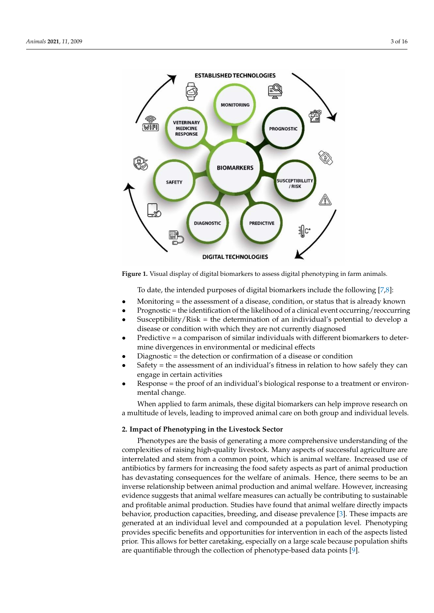<span id="page-2-0"></span>

**Figure 1.** Visual display of digital biomarkers to assess digital phenotyping in farm animals.

To date, the intended purposes of digital biomarkers include the following [\[7](#page-13-6)[,8\]](#page-13-7):

- Monitoring = the assessment of a disease, condition, or status that is already known
- Prognostic = the identification of the likelihood of a clinical event occurring/reoccurring
- Susceptibility/Risk = the determination of an individual's potential to develop a disease or condition with which they are not currently diagnosed
- Predictive = a comparison of similar individuals with different biomarkers to determine divergences in environmental or medicinal effects
- Diagnostic = the detection or confirmation of a disease or condition
- Safety = the assessment of an individual's fitness in relation to how safely they can engage in certain activities
- Response = the proof of an individual's biological response to a treatment or environmental change.

When applied to farm animals, these digital biomarkers can help improve research on a multitude of levels, leading to improved animal care on both group and individual levels.

## **2. Impact of Phenotyping in the Livestock Sector**

Phenotypes are the basis of generating a more comprehensive understanding of the complexities of raising high-quality livestock. Many aspects of successful agriculture are interrelated and stem from a common point, which is animal welfare. Increased use of antibiotics by farmers for increasing the food safety aspects as part of animal production has devastating consequences for the welfare of animals. Hence, there seems to be an inverse relationship between animal production and animal welfare. However, increasing evidence suggests that animal welfare measures can actually be contributing to sustainable and profitable animal production. Studies have found that animal welfare directly impacts behavior, production capacities, breeding, and disease prevalence [\[3\]](#page-13-2). These impacts are generated at an individual level and compounded at a population level. Phenotyping provides specific benefits and opportunities for intervention in each of the aspects listed prior. This allows for better caretaking, especially on a large scale because population shifts are quantifiable through the collection of phenotype-based data points [\[9\]](#page-13-8).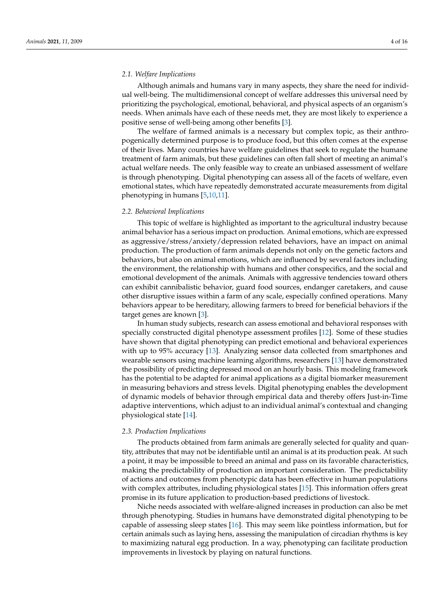## *2.1. Welfare Implications*

Although animals and humans vary in many aspects, they share the need for individual well-being. The multidimensional concept of welfare addresses this universal need by prioritizing the psychological, emotional, behavioral, and physical aspects of an organism's needs. When animals have each of these needs met, they are most likely to experience a positive sense of well-being among other benefits [\[3\]](#page-13-2).

The welfare of farmed animals is a necessary but complex topic, as their anthropogenically determined purpose is to produce food, but this often comes at the expense of their lives. Many countries have welfare guidelines that seek to regulate the humane treatment of farm animals, but these guidelines can often fall short of meeting an animal's actual welfare needs. The only feasible way to create an unbiased assessment of welfare is through phenotyping. Digital phenotyping can assess all of the facets of welfare, even emotional states, which have repeatedly demonstrated accurate measurements from digital phenotyping in humans [\[5](#page-13-4)[,10](#page-13-9)[,11\]](#page-13-10).

#### *2.2. Behavioral Implications*

This topic of welfare is highlighted as important to the agricultural industry because animal behavior has a serious impact on production. Animal emotions, which are expressed as aggressive/stress/anxiety/depression related behaviors, have an impact on animal production. The production of farm animals depends not only on the genetic factors and behaviors, but also on animal emotions, which are influenced by several factors including the environment, the relationship with humans and other conspecifics, and the social and emotional development of the animals. Animals with aggressive tendencies toward others can exhibit cannibalistic behavior, guard food sources, endanger caretakers, and cause other disruptive issues within a farm of any scale, especially confined operations. Many behaviors appear to be hereditary, allowing farmers to breed for beneficial behaviors if the target genes are known [\[3\]](#page-13-2).

In human study subjects, research can assess emotional and behavioral responses with specially constructed digital phenotype assessment profiles [\[12\]](#page-13-11). Some of these studies have shown that digital phenotyping can predict emotional and behavioral experiences with up to 95% accuracy [\[13\]](#page-13-12). Analyzing sensor data collected from smartphones and wearable sensors using machine learning algorithms, researchers [\[13\]](#page-13-12) have demonstrated the possibility of predicting depressed mood on an hourly basis. This modeling framework has the potential to be adapted for animal applications as a digital biomarker measurement in measuring behaviors and stress levels. Digital phenotyping enables the development of dynamic models of behavior through empirical data and thereby offers Just-in-Time adaptive interventions, which adjust to an individual animal's contextual and changing physiological state [\[14\]](#page-13-13).

#### *2.3. Production Implications*

The products obtained from farm animals are generally selected for quality and quantity, attributes that may not be identifiable until an animal is at its production peak. At such a point, it may be impossible to breed an animal and pass on its favorable characteristics, making the predictability of production an important consideration. The predictability of actions and outcomes from phenotypic data has been effective in human populations with complex attributes, including physiological states [\[15\]](#page-13-14). This information offers great promise in its future application to production-based predictions of livestock.

Niche needs associated with welfare-aligned increases in production can also be met through phenotyping. Studies in humans have demonstrated digital phenotyping to be capable of assessing sleep states [\[16\]](#page-13-15). This may seem like pointless information, but for certain animals such as laying hens, assessing the manipulation of circadian rhythms is key to maximizing natural egg production. In a way, phenotyping can facilitate production improvements in livestock by playing on natural functions.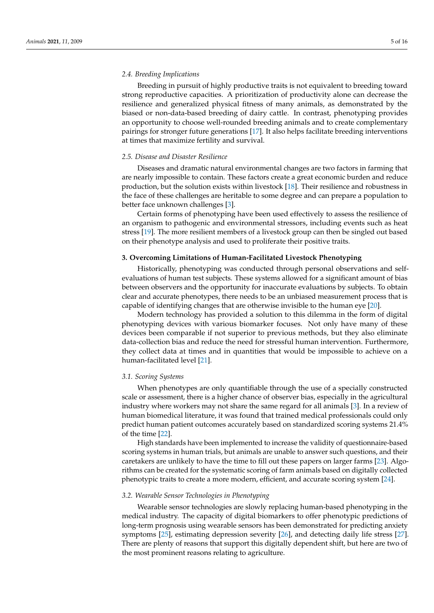## *2.4. Breeding Implications*

Breeding in pursuit of highly productive traits is not equivalent to breeding toward strong reproductive capacities. A prioritization of productivity alone can decrease the resilience and generalized physical fitness of many animals, as demonstrated by the biased or non-data-based breeding of dairy cattle. In contrast, phenotyping provides an opportunity to choose well-rounded breeding animals and to create complementary pairings for stronger future generations [\[17\]](#page-13-16). It also helps facilitate breeding interventions at times that maximize fertility and survival.

## *2.5. Disease and Disaster Resilience*

Diseases and dramatic natural environmental changes are two factors in farming that are nearly impossible to contain. These factors create a great economic burden and reduce production, but the solution exists within livestock [\[18\]](#page-13-17). Their resilience and robustness in the face of these challenges are heritable to some degree and can prepare a population to better face unknown challenges [\[3\]](#page-13-2).

Certain forms of phenotyping have been used effectively to assess the resilience of an organism to pathogenic and environmental stressors, including events such as heat stress [\[19\]](#page-13-18). The more resilient members of a livestock group can then be singled out based on their phenotype analysis and used to proliferate their positive traits.

## **3. Overcoming Limitations of Human-Facilitated Livestock Phenotyping**

Historically, phenotyping was conducted through personal observations and selfevaluations of human test subjects. These systems allowed for a significant amount of bias between observers and the opportunity for inaccurate evaluations by subjects. To obtain clear and accurate phenotypes, there needs to be an unbiased measurement process that is capable of identifying changes that are otherwise invisible to the human eye [\[20\]](#page-13-19).

Modern technology has provided a solution to this dilemma in the form of digital phenotyping devices with various biomarker focuses. Not only have many of these devices been comparable if not superior to previous methods, but they also eliminate data-collection bias and reduce the need for stressful human intervention. Furthermore, they collect data at times and in quantities that would be impossible to achieve on a human-facilitated level [\[21\]](#page-13-20).

#### *3.1. Scoring Systems*

When phenotypes are only quantifiable through the use of a specially constructed scale or assessment, there is a higher chance of observer bias, especially in the agricultural industry where workers may not share the same regard for all animals [\[3\]](#page-13-2). In a review of human biomedical literature, it was found that trained medical professionals could only predict human patient outcomes accurately based on standardized scoring systems 21.4% of the time [\[22\]](#page-13-21).

High standards have been implemented to increase the validity of questionnaire-based scoring systems in human trials, but animals are unable to answer such questions, and their caretakers are unlikely to have the time to fill out these papers on larger farms [\[23\]](#page-13-22). Algorithms can be created for the systematic scoring of farm animals based on digitally collected phenotypic traits to create a more modern, efficient, and accurate scoring system [\[24\]](#page-13-23).

## *3.2. Wearable Sensor Technologies in Phenotyping*

Wearable sensor technologies are slowly replacing human-based phenotyping in the medical industry. The capacity of digital biomarkers to offer phenotypic predictions of long-term prognosis using wearable sensors has been demonstrated for predicting anxiety symptoms [\[25\]](#page-14-0), estimating depression severity [\[26\]](#page-14-1), and detecting daily life stress [\[27\]](#page-14-2). There are plenty of reasons that support this digitally dependent shift, but here are two of the most prominent reasons relating to agriculture.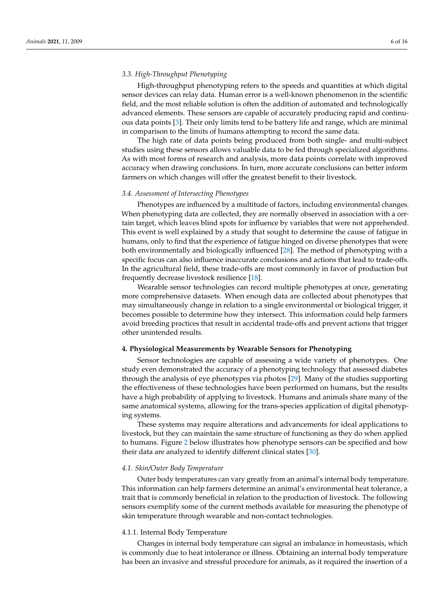# *3.3. High-Throughput Phenotyping*

High-throughput phenotyping refers to the speeds and quantities at which digital sensor devices can relay data. Human error is a well-known phenomenon in the scientific field, and the most reliable solution is often the addition of automated and technologically advanced elements. These sensors are capable of accurately producing rapid and continuous data points [\[3\]](#page-13-2). Their only limits tend to be battery life and range, which are minimal in comparison to the limits of humans attempting to record the same data.

The high rate of data points being produced from both single- and multi-subject studies using these sensors allows valuable data to be fed through specialized algorithms. As with most forms of research and analysis, more data points correlate with improved accuracy when drawing conclusions. In turn, more accurate conclusions can better inform farmers on which changes will offer the greatest benefit to their livestock.

#### *3.4. Assessment of Intersecting Phenotypes*

Phenotypes are influenced by a multitude of factors, including environmental changes. When phenotyping data are collected, they are normally observed in association with a certain target, which leaves blind spots for influence by variables that were not apprehended. This event is well explained by a study that sought to determine the cause of fatigue in humans, only to find that the experience of fatigue hinged on diverse phenotypes that were both environmentally and biologically influenced [\[28\]](#page-14-3). The method of phenotyping with a specific focus can also influence inaccurate conclusions and actions that lead to trade-offs. In the agricultural field, these trade-offs are most commonly in favor of production but frequently decrease livestock resilience [\[18\]](#page-13-17).

Wearable sensor technologies can record multiple phenotypes at once, generating more comprehensive datasets. When enough data are collected about phenotypes that may simultaneously change in relation to a single environmental or biological trigger, it becomes possible to determine how they intersect. This information could help farmers avoid breeding practices that result in accidental trade-offs and prevent actions that trigger other unintended results.

# **4. Physiological Measurements by Wearable Sensors for Phenotyping**

Sensor technologies are capable of assessing a wide variety of phenotypes. One study even demonstrated the accuracy of a phenotyping technology that assessed diabetes through the analysis of eye phenotypes via photos [\[29\]](#page-14-4). Many of the studies supporting the effectiveness of these technologies have been performed on humans, but the results have a high probability of applying to livestock. Humans and animals share many of the same anatomical systems, allowing for the trans-species application of digital phenotyping systems.

These systems may require alterations and advancements for ideal applications to livestock, but they can maintain the same structure of functioning as they do when applied to humans. Figure [2](#page-6-0) below illustrates how phenotype sensors can be specified and how their data are analyzed to identify different clinical states [\[30\]](#page-14-5).

#### *4.1. Skin/Outer Body Temperature*

Outer body temperatures can vary greatly from an animal's internal body temperature. This information can help farmers determine an animal's environmental heat tolerance, a trait that is commonly beneficial in relation to the production of livestock. The following sensors exemplify some of the current methods available for measuring the phenotype of skin temperature through wearable and non-contact technologies.

#### 4.1.1. Internal Body Temperature

Changes in internal body temperature can signal an imbalance in homeostasis, which is commonly due to heat intolerance or illness. Obtaining an internal body temperature has been an invasive and stressful procedure for animals, as it required the insertion of a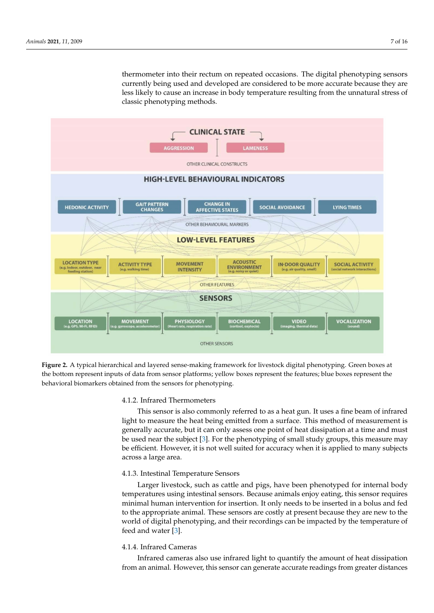thermometer into their rectum on repeated occasions. The digital phenotyping sensors currently being used and developed are considered to be more accurate because they are less likely to cause an increase in body temperature resulting from the unnatural stress of classic phenotyping methods.

<span id="page-6-0"></span>

**Figure 2.** A typical hierarchical and layered sense-making framework for livestock digital phenotyping. Green boxes at the bottom represent inputs of data from sensor platforms; yellow boxes represent the features; blue boxes represent the behavioral biomarkers obtained from the sensors for phenotyping.

## 4.1.2. Infrared Thermometers

This sensor is also commonly referred to as a heat gun. It uses a fine beam of infrared light to measure the heat being emitted from a surface. This method of measurement is generally accurate, but it can only assess one point of heat dissipation at a time and must be used near the subject [\[3\]](#page-13-2). For the phenotyping of small study groups, this measure may be efficient. However, it is not well suited for accuracy when it is applied to many subjects across a large area.

# 4.1.3. Intestinal Temperature Sensors

Larger livestock, such as cattle and pigs, have been phenotyped for internal body temperatures using intestinal sensors. Because animals enjoy eating, this sensor requires minimal human intervention for insertion. It only needs to be inserted in a bolus and fed to the appropriate animal. These sensors are costly at present because they are new to the world of digital phenotyping, and their recordings can be impacted by the temperature of feed and water [\[3\]](#page-13-2).

# 4.1.4. Infrared Cameras

Infrared cameras also use infrared light to quantify the amount of heat dissipation from an animal. However, this sensor can generate accurate readings from greater distances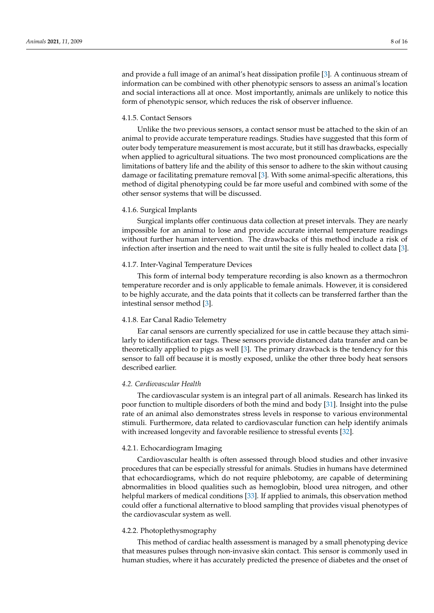and provide a full image of an animal's heat dissipation profile [\[3\]](#page-13-2). A continuous stream of information can be combined with other phenotypic sensors to assess an animal's location and social interactions all at once. Most importantly, animals are unlikely to notice this form of phenotypic sensor, which reduces the risk of observer influence.

## 4.1.5. Contact Sensors

Unlike the two previous sensors, a contact sensor must be attached to the skin of an animal to provide accurate temperature readings. Studies have suggested that this form of outer body temperature measurement is most accurate, but it still has drawbacks, especially when applied to agricultural situations. The two most pronounced complications are the limitations of battery life and the ability of this sensor to adhere to the skin without causing damage or facilitating premature removal [\[3\]](#page-13-2). With some animal-specific alterations, this method of digital phenotyping could be far more useful and combined with some of the other sensor systems that will be discussed.

## 4.1.6. Surgical Implants

Surgical implants offer continuous data collection at preset intervals. They are nearly impossible for an animal to lose and provide accurate internal temperature readings without further human intervention. The drawbacks of this method include a risk of infection after insertion and the need to wait until the site is fully healed to collect data [\[3\]](#page-13-2).

#### 4.1.7. Inter-Vaginal Temperature Devices

This form of internal body temperature recording is also known as a thermochron temperature recorder and is only applicable to female animals. However, it is considered to be highly accurate, and the data points that it collects can be transferred farther than the intestinal sensor method [\[3\]](#page-13-2).

#### 4.1.8. Ear Canal Radio Telemetry

Ear canal sensors are currently specialized for use in cattle because they attach similarly to identification ear tags. These sensors provide distanced data transfer and can be theoretically applied to pigs as well [\[3\]](#page-13-2). The primary drawback is the tendency for this sensor to fall off because it is mostly exposed, unlike the other three body heat sensors described earlier.

#### *4.2. Cardiovascular Health*

The cardiovascular system is an integral part of all animals. Research has linked its poor function to multiple disorders of both the mind and body [\[31\]](#page-14-6). Insight into the pulse rate of an animal also demonstrates stress levels in response to various environmental stimuli. Furthermore, data related to cardiovascular function can help identify animals with increased longevity and favorable resilience to stressful events [\[32\]](#page-14-7).

# 4.2.1. Echocardiogram Imaging

Cardiovascular health is often assessed through blood studies and other invasive procedures that can be especially stressful for animals. Studies in humans have determined that echocardiograms, which do not require phlebotomy, are capable of determining abnormalities in blood qualities such as hemoglobin, blood urea nitrogen, and other helpful markers of medical conditions [\[33\]](#page-14-8). If applied to animals, this observation method could offer a functional alternative to blood sampling that provides visual phenotypes of the cardiovascular system as well.

## 4.2.2. Photoplethysmography

This method of cardiac health assessment is managed by a small phenotyping device that measures pulses through non-invasive skin contact. This sensor is commonly used in human studies, where it has accurately predicted the presence of diabetes and the onset of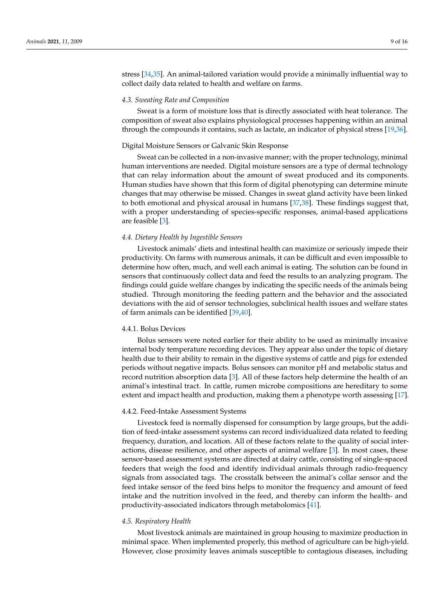stress [\[34](#page-14-9)[,35\]](#page-14-10). An animal-tailored variation would provide a minimally influential way to collect daily data related to health and welfare on farms.

## *4.3. Sweating Rate and Composition*

Sweat is a form of moisture loss that is directly associated with heat tolerance. The composition of sweat also explains physiological processes happening within an animal through the compounds it contains, such as lactate, an indicator of physical stress [\[19,](#page-13-18)[36\]](#page-14-11).

#### Digital Moisture Sensors or Galvanic Skin Response

Sweat can be collected in a non-invasive manner; with the proper technology, minimal human interventions are needed. Digital moisture sensors are a type of dermal technology that can relay information about the amount of sweat produced and its components. Human studies have shown that this form of digital phenotyping can determine minute changes that may otherwise be missed. Changes in sweat gland activity have been linked to both emotional and physical arousal in humans [\[37](#page-14-12)[,38\]](#page-14-13). These findings suggest that, with a proper understanding of species-specific responses, animal-based applications are feasible [\[3\]](#page-13-2).

#### *4.4. Dietary Health by Ingestible Sensors*

Livestock animals' diets and intestinal health can maximize or seriously impede their productivity. On farms with numerous animals, it can be difficult and even impossible to determine how often, much, and well each animal is eating. The solution can be found in sensors that continuously collect data and feed the results to an analyzing program. The findings could guide welfare changes by indicating the specific needs of the animals being studied. Through monitoring the feeding pattern and the behavior and the associated deviations with the aid of sensor technologies, subclinical health issues and welfare states of farm animals can be identified [\[39](#page-14-14)[,40\]](#page-14-15).

## 4.4.1. Bolus Devices

Bolus sensors were noted earlier for their ability to be used as minimally invasive internal body temperature recording devices. They appear also under the topic of dietary health due to their ability to remain in the digestive systems of cattle and pigs for extended periods without negative impacts. Bolus sensors can monitor pH and metabolic status and record nutrition absorption data [\[3\]](#page-13-2). All of these factors help determine the health of an animal's intestinal tract. In cattle, rumen microbe compositions are hereditary to some extent and impact health and production, making them a phenotype worth assessing [\[17\]](#page-13-16).

#### 4.4.2. Feed-Intake Assessment Systems

Livestock feed is normally dispensed for consumption by large groups, but the addition of feed-intake assessment systems can record individualized data related to feeding frequency, duration, and location. All of these factors relate to the quality of social interactions, disease resilience, and other aspects of animal welfare [\[3\]](#page-13-2). In most cases, these sensor-based assessment systems are directed at dairy cattle, consisting of single-spaced feeders that weigh the food and identify individual animals through radio-frequency signals from associated tags. The crosstalk between the animal's collar sensor and the feed intake sensor of the feed bins helps to monitor the frequency and amount of feed intake and the nutrition involved in the feed, and thereby can inform the health- and productivity-associated indicators through metabolomics [\[41\]](#page-14-16).

#### *4.5. Respiratory Health*

Most livestock animals are maintained in group housing to maximize production in minimal space. When implemented properly, this method of agriculture can be high-yield. However, close proximity leaves animals susceptible to contagious diseases, including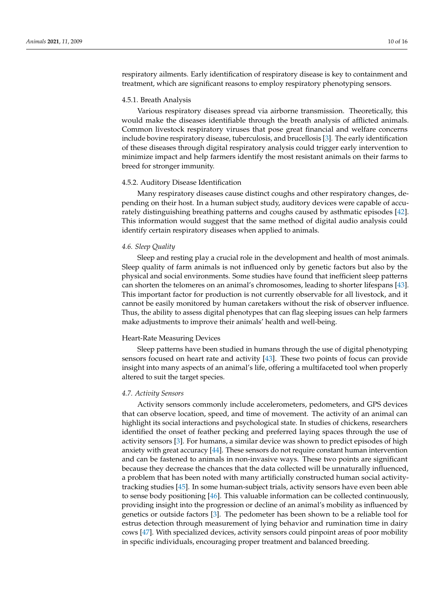respiratory ailments. Early identification of respiratory disease is key to containment and treatment, which are significant reasons to employ respiratory phenotyping sensors.

#### 4.5.1. Breath Analysis

Various respiratory diseases spread via airborne transmission. Theoretically, this would make the diseases identifiable through the breath analysis of afflicted animals. Common livestock respiratory viruses that pose great financial and welfare concerns include bovine respiratory disease, tuberculosis, and brucellosis [\[3\]](#page-13-2). The early identification of these diseases through digital respiratory analysis could trigger early intervention to minimize impact and help farmers identify the most resistant animals on their farms to breed for stronger immunity.

#### 4.5.2. Auditory Disease Identification

Many respiratory diseases cause distinct coughs and other respiratory changes, depending on their host. In a human subject study, auditory devices were capable of accurately distinguishing breathing patterns and coughs caused by asthmatic episodes [\[42\]](#page-14-17). This information would suggest that the same method of digital audio analysis could identify certain respiratory diseases when applied to animals.

#### *4.6. Sleep Quality*

Sleep and resting play a crucial role in the development and health of most animals. Sleep quality of farm animals is not influenced only by genetic factors but also by the physical and social environments. Some studies have found that inefficient sleep patterns can shorten the telomeres on an animal's chromosomes, leading to shorter lifespans [\[43\]](#page-14-18). This important factor for production is not currently observable for all livestock, and it cannot be easily monitored by human caretakers without the risk of observer influence. Thus, the ability to assess digital phenotypes that can flag sleeping issues can help farmers make adjustments to improve their animals' health and well-being.

#### Heart-Rate Measuring Devices

Sleep patterns have been studied in humans through the use of digital phenotyping sensors focused on heart rate and activity [\[43\]](#page-14-18). These two points of focus can provide insight into many aspects of an animal's life, offering a multifaceted tool when properly altered to suit the target species.

#### *4.7. Activity Sensors*

Activity sensors commonly include accelerometers, pedometers, and GPS devices that can observe location, speed, and time of movement. The activity of an animal can highlight its social interactions and psychological state. In studies of chickens, researchers identified the onset of feather pecking and preferred laying spaces through the use of activity sensors [\[3\]](#page-13-2). For humans, a similar device was shown to predict episodes of high anxiety with great accuracy [\[44\]](#page-14-19). These sensors do not require constant human intervention and can be fastened to animals in non-invasive ways. These two points are significant because they decrease the chances that the data collected will be unnaturally influenced, a problem that has been noted with many artificially constructed human social activitytracking studies [\[45\]](#page-14-20). In some human-subject trials, activity sensors have even been able to sense body positioning [\[46\]](#page-14-21). This valuable information can be collected continuously, providing insight into the progression or decline of an animal's mobility as influenced by genetics or outside factors [\[3\]](#page-13-2). The pedometer has been shown to be a reliable tool for estrus detection through measurement of lying behavior and rumination time in dairy cows [\[47\]](#page-14-22). With specialized devices, activity sensors could pinpoint areas of poor mobility in specific individuals, encouraging proper treatment and balanced breeding.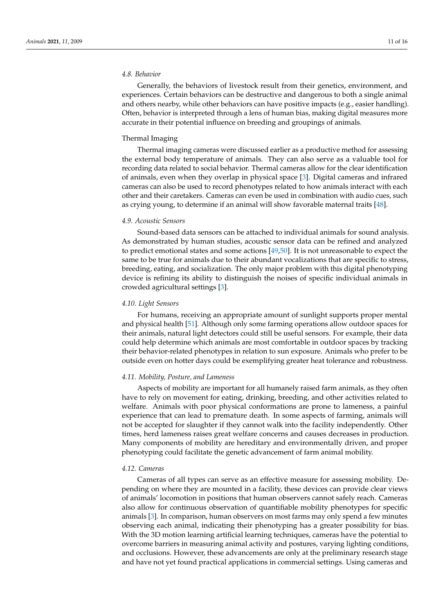## *4.8. Behavior*

Generally, the behaviors of livestock result from their genetics, environment, and experiences. Certain behaviors can be destructive and dangerous to both a single animal and others nearby, while other behaviors can have positive impacts (e.g., easier handling). Often, behavior is interpreted through a lens of human bias, making digital measures more accurate in their potential influence on breeding and groupings of animals.

## Thermal Imaging

Thermal imaging cameras were discussed earlier as a productive method for assessing the external body temperature of animals. They can also serve as a valuable tool for recording data related to social behavior. Thermal cameras allow for the clear identification of animals, even when they overlap in physical space [\[3\]](#page-13-2). Digital cameras and infrared cameras can also be used to record phenotypes related to how animals interact with each other and their caretakers. Cameras can even be used in combination with audio cues, such as crying young, to determine if an animal will show favorable maternal traits [\[48\]](#page-14-23).

## *4.9. Acoustic Sensors*

Sound-based data sensors can be attached to individual animals for sound analysis. As demonstrated by human studies, acoustic sensor data can be refined and analyzed to predict emotional states and some actions [\[49](#page-14-24)[,50\]](#page-14-25). It is not unreasonable to expect the same to be true for animals due to their abundant vocalizations that are specific to stress, breeding, eating, and socialization. The only major problem with this digital phenotyping device is refining its ability to distinguish the noises of specific individual animals in crowded agricultural settings [\[3\]](#page-13-2).

#### *4.10. Light Sensors*

For humans, receiving an appropriate amount of sunlight supports proper mental and physical health [\[51\]](#page-14-26). Although only some farming operations allow outdoor spaces for their animals, natural light detectors could still be useful sensors. For example, their data could help determine which animals are most comfortable in outdoor spaces by tracking their behavior-related phenotypes in relation to sun exposure. Animals who prefer to be outside even on hotter days could be exemplifying greater heat tolerance and robustness.

#### *4.11. Mobility, Posture, and Lameness*

Aspects of mobility are important for all humanely raised farm animals, as they often have to rely on movement for eating, drinking, breeding, and other activities related to welfare. Animals with poor physical conformations are prone to lameness, a painful experience that can lead to premature death. In some aspects of farming, animals will not be accepted for slaughter if they cannot walk into the facility independently. Other times, herd lameness raises great welfare concerns and causes decreases in production. Many components of mobility are hereditary and environmentally driven, and proper phenotyping could facilitate the genetic advancement of farm animal mobility.

## *4.12. Cameras*

Cameras of all types can serve as an effective measure for assessing mobility. Depending on where they are mounted in a facility, these devices can provide clear views of animals' locomotion in positions that human observers cannot safely reach. Cameras also allow for continuous observation of quantifiable mobility phenotypes for specific animals [\[3\]](#page-13-2). In comparison, human observers on most farms may only spend a few minutes observing each animal, indicating their phenotyping has a greater possibility for bias. With the 3D motion learning artificial learning techniques, cameras have the potential to overcome barriers in measuring animal activity and postures, varying lighting conditions, and occlusions. However, these advancements are only at the preliminary research stage and have not yet found practical applications in commercial settings. Using cameras and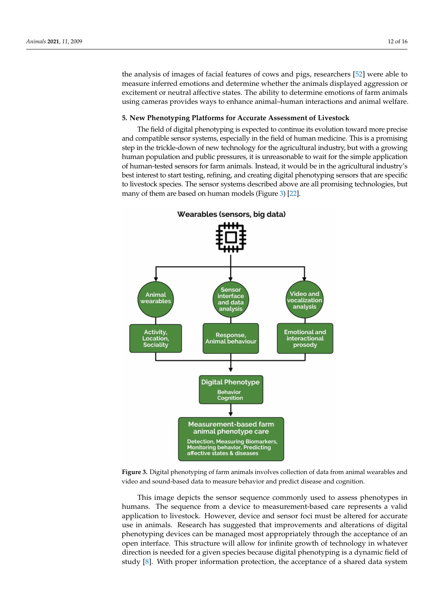the analysis of images of facial features of cows and pigs, researchers [\[52\]](#page-14-27) were able to measure inferred emotions and determine whether the animals displayed aggression or excitement or neutral affective states. The ability to determine emotions of farm animals using cameras provides ways to enhance animal–human interactions and animal welfare.

## **5. New Phenotyping Platforms for Accurate Assessment of Livestock**

The field of digital phenotyping is expected to continue its evolution toward more precise and compatible sensor systems, especially in the field of human medicine. This is a promising step in the trickle-down of new technology for the agricultural industry, but with a growing human population and public pressures, it is unreasonable to wait for the simple application of human-tested sensors for farm animals. Instead, it would be in the agricultural industry's best interest to start testing, refining, and creating digital phenotyping sensors that are specific to livestock species. The sensor systems described above are all promising technologies, but many of them are based on human models (Figure [3\)](#page-11-0) [\[22\]](#page-13-21).

<span id="page-11-0"></span>



This image depicts the sensor sequence commonly used to assess phenotypes in humans. The sequence from a device to measurement-based care represents a valid application to livestock. However, device and sensor foci must be altered for accurate use in animals. Research has suggested that improvements and alterations of digital phenotyping devices can be managed most appropriately through the acceptance of an open interface. This structure will allow for infinite growth of technology in whatever direction is needed for a given species because digital phenotyping is a dynamic field of study [\[8\]](#page-13-7). With proper information protection, the acceptance of a shared data system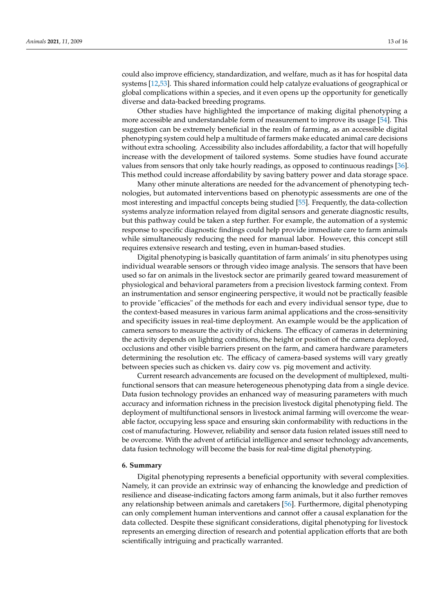could also improve efficiency, standardization, and welfare, much as it has for hospital data systems [\[12](#page-13-11)[,53\]](#page-15-0). This shared information could help catalyze evaluations of geographical or global complications within a species, and it even opens up the opportunity for genetically diverse and data-backed breeding programs.

Other studies have highlighted the importance of making digital phenotyping a more accessible and understandable form of measurement to improve its usage [\[54\]](#page-15-1). This suggestion can be extremely beneficial in the realm of farming, as an accessible digital phenotyping system could help a multitude of farmers make educated animal care decisions without extra schooling. Accessibility also includes affordability, a factor that will hopefully increase with the development of tailored systems. Some studies have found accurate values from sensors that only take hourly readings, as opposed to continuous readings [\[36\]](#page-14-11). This method could increase affordability by saving battery power and data storage space.

Many other minute alterations are needed for the advancement of phenotyping technologies, but automated interventions based on phenotypic assessments are one of the most interesting and impactful concepts being studied [\[55\]](#page-15-2). Frequently, the data-collection systems analyze information relayed from digital sensors and generate diagnostic results, but this pathway could be taken a step further. For example, the automation of a systemic response to specific diagnostic findings could help provide immediate care to farm animals while simultaneously reducing the need for manual labor. However, this concept still requires extensive research and testing, even in human-based studies.

Digital phenotyping is basically quantitation of farm animals' in situ phenotypes using individual wearable sensors or through video image analysis. The sensors that have been used so far on animals in the livestock sector are primarily geared toward measurement of physiological and behavioral parameters from a precision livestock farming context. From an instrumentation and sensor engineering perspective, it would not be practically feasible to provide "efficacies" of the methods for each and every individual sensor type, due to the context-based measures in various farm animal applications and the cross-sensitivity and specificity issues in real-time deployment. An example would be the application of camera sensors to measure the activity of chickens. The efficacy of cameras in determining the activity depends on lighting conditions, the height or position of the camera deployed, occlusions and other visible barriers present on the farm, and camera hardware parameters determining the resolution etc. The efficacy of camera-based systems will vary greatly between species such as chicken vs. dairy cow vs. pig movement and activity.

Current research advancements are focused on the development of multiplexed, multifunctional sensors that can measure heterogeneous phenotyping data from a single device. Data fusion technology provides an enhanced way of measuring parameters with much accuracy and information richness in the precision livestock digital phenotyping field. The deployment of multifunctional sensors in livestock animal farming will overcome the wearable factor, occupying less space and ensuring skin conformability with reductions in the cost of manufacturing. However, reliability and sensor data fusion related issues still need to be overcome. With the advent of artificial intelligence and sensor technology advancements, data fusion technology will become the basis for real-time digital phenotyping.

## **6. Summary**

Digital phenotyping represents a beneficial opportunity with several complexities. Namely, it can provide an extrinsic way of enhancing the knowledge and prediction of resilience and disease-indicating factors among farm animals, but it also further removes any relationship between animals and caretakers [\[56\]](#page-15-3). Furthermore, digital phenotyping can only complement human interventions and cannot offer a causal explanation for the data collected. Despite these significant considerations, digital phenotyping for livestock represents an emerging direction of research and potential application efforts that are both scientifically intriguing and practically warranted.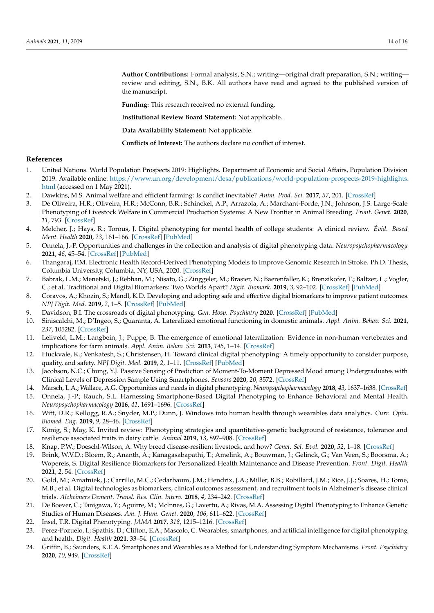**Author Contributions:** Formal analysis, S.N.; writing—original draft preparation, S.N.; writing review and editing, S.N., B.K. All authors have read and agreed to the published version of the manuscript.

**Funding:** This research received no external funding.

**Institutional Review Board Statement:** Not applicable.

**Data Availability Statement:** Not applicable.

**Conflicts of Interest:** The authors declare no conflict of interest.

## **References**

- <span id="page-13-0"></span>1. United Nations. World Population Prospects 2019: Highlights. Department of Economic and Social Affairs, Population Division 2019. Available online: [https://www.un.org/development/desa/publications/world-population-prospects-2019-highlights.](https://www.un.org/development/desa/publications/world-population-prospects-2019-highlights.html) [html](https://www.un.org/development/desa/publications/world-population-prospects-2019-highlights.html) (accessed on 1 May 2021).
- <span id="page-13-1"></span>2. Dawkins, M.S. Animal welfare and efficient farming: Is conflict inevitable? *Anim. Prod. Sci.* **2017**, *57*, 201. [\[CrossRef\]](http://doi.org/10.1071/AN15383)
- <span id="page-13-2"></span>3. De Oliveira, H.R.; Oliveira, H.R.; McConn, B.R.; Schinckel, A.P.; Arrazola, A.; Marchant-Forde, J.N.; Johnson, J.S. Large-Scale Phenotyping of Livestock Welfare in Commercial Production Systems: A New Frontier in Animal Breeding. *Front. Genet.* **2020**, *11*, 793. [\[CrossRef\]](http://doi.org/10.3389/fgene.2020.00793)
- <span id="page-13-3"></span>4. Melcher, J.; Hays, R.; Torous, J. Digital phenotyping for mental health of college students: A clinical review. *Évid. Based Ment. Health* **2020**, *23*, 161–166. [\[CrossRef\]](http://doi.org/10.1136/ebmental-2020-300180) [\[PubMed\]](http://www.ncbi.nlm.nih.gov/pubmed/32998937)
- <span id="page-13-4"></span>5. Onnela, J.-P. Opportunities and challenges in the collection and analysis of digital phenotyping data. *Neuropsychopharmacology* **2021**, *46*, 45–54. [\[CrossRef\]](http://doi.org/10.1038/s41386-020-0771-3) [\[PubMed\]](http://www.ncbi.nlm.nih.gov/pubmed/32679583)
- <span id="page-13-5"></span>6. Thangaraj, P.M. Electronic Health Record-Derived Phenotyping Models to Improve Genomic Research in Stroke. Ph.D. Thesis, Columbia University, Columbia, NY, USA, 2020. [\[CrossRef\]](http://doi.org/10.7916/d8-9gpk-nn66)
- <span id="page-13-6"></span>7. Babrak, L.M.; Menetski, J.; Rebhan, M.; Nisato, G.; Zinggeler, M.; Brasier, N.; Baerenfaller, K.; Brenzikofer, T.; Baltzer, L.; Vogler, C.; et al. Traditional and Digital Biomarkers: Two Worlds Apart? *Digit. Biomark.* **2019**, *3*, 92–102. [\[CrossRef\]](http://doi.org/10.1159/000502000) [\[PubMed\]](http://www.ncbi.nlm.nih.gov/pubmed/32095769)
- <span id="page-13-7"></span>8. Coravos, A.; Khozin, S.; Mandl, K.D. Developing and adopting safe and effective digital biomarkers to improve patient outcomes. *NPJ Digit. Med.* **2019**, *2*, 1–5. [\[CrossRef\]](http://doi.org/10.1038/s41746-019-0090-4) [\[PubMed\]](http://www.ncbi.nlm.nih.gov/pubmed/30868107)
- <span id="page-13-8"></span>9. Davidson, B.I. The crossroads of digital phenotyping. *Gen. Hosp. Psychiatry* **2020**. [\[CrossRef\]](http://doi.org/10.1016/j.genhosppsych.2020.11.009) [\[PubMed\]](http://www.ncbi.nlm.nih.gov/pubmed/33653612)
- <span id="page-13-9"></span>10. Siniscalchi, M.; D'Ingeo, S.; Quaranta, A. Lateralized emotional functioning in domestic animals. *Appl. Anim. Behav. Sci.* **2021**, *237*, 105282. [\[CrossRef\]](http://doi.org/10.1016/j.applanim.2021.105282)
- <span id="page-13-10"></span>11. Leliveld, L.M.; Langbein, J.; Puppe, B. The emergence of emotional lateralization: Evidence in non-human vertebrates and implications for farm animals. *Appl. Anim. Behav. Sci.* **2013**, *145*, 1–14. [\[CrossRef\]](http://doi.org/10.1016/j.applanim.2013.02.002)
- <span id="page-13-11"></span>12. Huckvale, K.; Venkatesh, S.; Christensen, H. Toward clinical digital phenotyping: A timely opportunity to consider purpose, quality, and safety. *NPJ Digit. Med.* **2019**, *2*, 1–11. [\[CrossRef\]](http://doi.org/10.1038/s41746-019-0166-1) [\[PubMed\]](http://www.ncbi.nlm.nih.gov/pubmed/31508498)
- <span id="page-13-12"></span>13. Jacobson, N.C.; Chung, Y.J. Passive Sensing of Prediction of Moment-To-Moment Depressed Mood among Undergraduates with Clinical Levels of Depression Sample Using Smartphones. *Sensors* **2020**, *20*, 3572. [\[CrossRef\]](http://doi.org/10.3390/s20123572)
- <span id="page-13-13"></span>14. Marsch, L.A.; Wallace, A.G. Opportunities and needs in digital phenotyping. *Neuropsychopharmacology* **2018**, *43*, 1637–1638. [\[CrossRef\]](http://doi.org/10.1038/s41386-018-0051-7)
- <span id="page-13-14"></span>15. Onnela, J.-P.; Rauch, S.L. Harnessing Smartphone-Based Digital Phenotyping to Enhance Behavioral and Mental Health. *Neuropsychopharmacology* **2016**, *41*, 1691–1696. [\[CrossRef\]](http://doi.org/10.1038/npp.2016.7)
- <span id="page-13-15"></span>16. Witt, D.R.; Kellogg, R.A.; Snyder, M.P.; Dunn, J. Windows into human health through wearables data analytics. *Curr. Opin. Biomed. Eng.* **2019**, *9*, 28–46. [\[CrossRef\]](http://doi.org/10.1016/j.cobme.2019.01.001)
- <span id="page-13-16"></span>17. König, S.; May, K. Invited review: Phenotyping strategies and quantitative-genetic background of resistance, tolerance and resilience associated traits in dairy cattle. *Animal* **2019**, *13*, 897–908. [\[CrossRef\]](http://doi.org/10.1017/S1751731118003208)
- <span id="page-13-17"></span>18. Knap, P.W.; Doeschl-Wilson, A. Why breed disease-resilient livestock, and how? *Genet. Sel. Evol.* **2020**, *52*, 1–18. [\[CrossRef\]](http://doi.org/10.1186/s12711-020-00580-4)
- <span id="page-13-18"></span>19. Brink, W.V.D.; Bloem, R.; Ananth, A.; Kanagasabapathi, T.; Amelink, A.; Bouwman, J.; Gelinck, G.; Van Veen, S.; Boorsma, A.; Wopereis, S. Digital Resilience Biomarkers for Personalized Health Maintenance and Disease Prevention. *Front. Digit. Health* **2021**, *2*, 54. [\[CrossRef\]](http://doi.org/10.3389/fdgth.2020.614670)
- <span id="page-13-19"></span>20. Gold, M.; Amatniek, J.; Carrillo, M.C.; Cedarbaum, J.M.; Hendrix, J.A.; Miller, B.B.; Robillard, J.M.; Rice, J.J.; Soares, H.; Tome, M.B.; et al. Digital technologies as biomarkers, clinical outcomes assessment, and recruitment tools in Alzheimer's disease clinical trials. *Alzheimers Dement. Transl. Res. Clin. Interv.* **2018**, *4*, 234–242. [\[CrossRef\]](http://doi.org/10.1016/j.trci.2018.04.003)
- <span id="page-13-20"></span>21. De Boever, C.; Tanigawa, Y.; Aguirre, M.; McInnes, G.; Lavertu, A.; Rivas, M.A. Assessing Digital Phenotyping to Enhance Genetic Studies of Human Diseases. *Am. J. Hum. Genet.* **2020**, *106*, 611–622. [\[CrossRef\]](http://doi.org/10.1016/j.ajhg.2020.03.007)
- <span id="page-13-21"></span>22. Insel, T.R. Digital Phenotyping. *JAMA* **2017**, *318*, 1215–1216. [\[CrossRef\]](http://doi.org/10.1001/jama.2017.11295)
- <span id="page-13-22"></span>23. Perez-Pozuelo, I.; Spathis, D.; Clifton, E.A.; Mascolo, C. Wearables, smartphones, and artificial intelligence for digital phenotyping and health. *Digit. Health* **2021**, 33–54. [\[CrossRef\]](http://doi.org/10.1016/b978-0-12-820077-3.00003-1)
- <span id="page-13-23"></span>24. Griffin, B.; Saunders, K.E.A. Smartphones and Wearables as a Method for Understanding Symptom Mechanisms. *Front. Psychiatry* **2020**, *10*, 949. [\[CrossRef\]](http://doi.org/10.3389/fpsyt.2019.00949)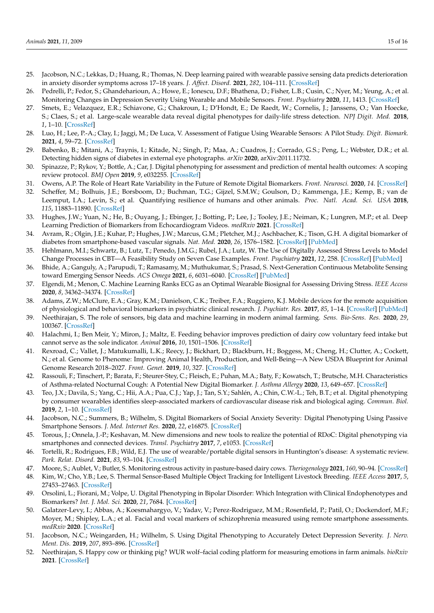- <span id="page-14-0"></span>25. Jacobson, N.C.; Lekkas, D.; Huang, R.; Thomas, N. Deep learning paired with wearable passive sensing data predicts deterioration in anxiety disorder symptoms across 17–18 years. *J. Affect. Disord.* **2021**, *282*, 104–111. [\[CrossRef\]](http://doi.org/10.1016/j.jad.2020.12.086)
- <span id="page-14-1"></span>26. Pedrelli, P.; Fedor, S.; Ghandeharioun, A.; Howe, E.; Ionescu, D.F.; Bhathena, D.; Fisher, L.B.; Cusin, C.; Nyer, M.; Yeung, A.; et al. Monitoring Changes in Depression Severity Using Wearable and Mobile Sensors. *Front. Psychiatry* **2020**, *11*, 1413. [\[CrossRef\]](http://doi.org/10.3389/fpsyt.2020.584711)
- <span id="page-14-2"></span>27. Smets, E.; Velazquez, E.R.; Schiavone, G.; Chakroun, I.; D'Hondt, E.; De Raedt, W.; Cornelis, J.; Janssens, O.; Van Hoecke, S.; Claes, S.; et al. Large-scale wearable data reveal digital phenotypes for daily-life stress detection. *NPJ Digit. Med.* **2018**, *1*, 1–10. [\[CrossRef\]](http://doi.org/10.1038/s41746-018-0074-9)
- <span id="page-14-3"></span>28. Luo, H.; Lee, P.-A.; Clay, I.; Jaggi, M.; De Luca, V. Assessment of Fatigue Using Wearable Sensors: A Pilot Study. *Digit. Biomark.* **2021**, *4*, 59–72. [\[CrossRef\]](http://doi.org/10.1159/000512166)
- <span id="page-14-4"></span>29. Babenko, B.; Mitani, A.; Traynis, I.; Kitade, N.; Singh, P.; Maa, A.; Cuadros, J.; Corrado, G.S.; Peng, L.; Webster, D.R.; et al. Detecting hidden signs of diabetes in external eye photographs. *arXiv* **2020**, arXiv:2011.11732.
- <span id="page-14-5"></span>30. Spinazze, P.; Rykov, Y.; Bottle, A.; Car, J. Digital phenotyping for assessment and prediction of mental health outcomes: A scoping review protocol. *BMJ Open* **2019**, *9*, e032255. [\[CrossRef\]](http://doi.org/10.1136/bmjopen-2019-032255)
- <span id="page-14-6"></span>31. Owens, A.P. The Role of Heart Rate Variability in the Future of Remote Digital Biomarkers. *Front. Neurosci.* **2020**, *14*. [\[CrossRef\]](http://doi.org/10.3389/fnins.2020.582145)
- <span id="page-14-7"></span>32. Scheffer, M.; Bolhuis, J.E.; Borsboom, D.; Buchman, T.G.; Gijzel, S.M.W.; Goulson, D.; Kammenga, J.E.; Kemp, B.; van de Leemput, I.A.; Levin, S.; et al. Quantifying resilience of humans and other animals. *Proc. Natl. Acad. Sci. USA* **2018**, *115*, 11883–11890. [\[CrossRef\]](http://doi.org/10.1073/pnas.1810630115)
- <span id="page-14-8"></span>33. Hughes, J.W.; Yuan, N.; He, B.; Ouyang, J.; Ebinger, J.; Botting, P.; Lee, J.; Tooley, J.E.; Neiman, K.; Lungren, M.P.; et al. Deep Learning Prediction of Biomarkers from Echocardiogram Videos. *medRxiv* **2021**. [\[CrossRef\]](http://doi.org/10.1101/2021.02.03.21251080)
- <span id="page-14-9"></span>34. Avram, R.; Olgin, J.E.; Kuhar, P.; Hughes, J.W.; Marcus, G.M.; Pletcher, M.J.; Aschbacher, K.; Tison, G.H. A digital biomarker of diabetes from smartphone-based vascular signals. *Nat. Med.* **2020**, *26*, 1576–1582. [\[CrossRef\]](http://doi.org/10.1038/s41591-020-1010-5) [\[PubMed\]](http://www.ncbi.nlm.nih.gov/pubmed/32807931)
- <span id="page-14-10"></span>35. Hehlmann, M.I.; Schwartz, B.; Lutz, T.; Penedo, J.M.G.; Rubel, J.A.; Lutz, W. The Use of Digitally Assessed Stress Levels to Model Change Processes in CBT—A Feasibility Study on Seven Case Examples. *Front. Psychiatry* **2021**, *12*, 258. [\[CrossRef\]](http://doi.org/10.3389/fpsyt.2021.613085) [\[PubMed\]](http://www.ncbi.nlm.nih.gov/pubmed/33767638)
- <span id="page-14-11"></span>36. Bhide, A.; Ganguly, A.; Parupudi, T.; Ramasamy, M.; Muthukumar, S.; Prasad, S. Next-Generation Continuous Metabolite Sensing toward Emerging Sensor Needs. *ACS Omega* **2021**, *6*, 6031–6040. [\[CrossRef\]](http://doi.org/10.1021/acsomega.0c06209) [\[PubMed\]](http://www.ncbi.nlm.nih.gov/pubmed/33718694)
- <span id="page-14-12"></span>37. Elgendi, M.; Menon, C. Machine Learning Ranks ECG as an Optimal Wearable Biosignal for Assessing Driving Stress. *IEEE Access* **2020**, *8*, 34362–34374. [\[CrossRef\]](http://doi.org/10.1109/ACCESS.2020.2974933)
- <span id="page-14-13"></span>38. Adams, Z.W.; McClure, E.A.; Gray, K.M.; Danielson, C.K.; Treiber, F.A.; Ruggiero, K.J. Mobile devices for the remote acquisition of physiological and behavioral biomarkers in psychiatric clinical research. *J. Psychiatr. Res.* **2017**, *85*, 1–14. [\[CrossRef\]](http://doi.org/10.1016/j.jpsychires.2016.10.019) [\[PubMed\]](http://www.ncbi.nlm.nih.gov/pubmed/27814455)
- <span id="page-14-14"></span>39. Neethirajan, S. The role of sensors, big data and machine learning in modern animal farming. *Sens. Bio-Sens. Res.* **2020**, *29*, 100367. [\[CrossRef\]](http://doi.org/10.1016/j.sbsr.2020.100367)
- <span id="page-14-15"></span>40. Halachmi, I.; Ben Meir, Y.; Miron, J.; Maltz, E. Feeding behavior improves prediction of dairy cow voluntary feed intake but cannot serve as the sole indicator. *Animal* **2016**, *10*, 1501–1506. [\[CrossRef\]](http://doi.org/10.1017/S1751731115001809)
- <span id="page-14-16"></span>41. Rexroad, C.; Vallet, J.; Matukumalli, L.K.; Reecy, J.; Bickhart, D.; Blackburn, H.; Boggess, M.; Cheng, H.; Clutter, A.; Cockett, N.; et al. Genome to Phenome: Improving Animal Health, Production, and Well-Being—A New USDA Blueprint for Animal Genome Research 2018–2027. *Front. Genet.* **2019**, *10*, 327. [\[CrossRef\]](http://doi.org/10.3389/fgene.2019.00327)
- <span id="page-14-17"></span>42. Rassouli, F.; Tinschert, P.; Barata, F.; Steurer-Stey, C.; Fleisch, E.; Puhan, M.A.; Baty, F.; Kowatsch, T.; Brutsche, M.H. Characteristics of Asthma-related Nocturnal Cough: A Potential New Digital Biomarker. *J. Asthma Allergy* **2020**, *13*, 649–657. [\[CrossRef\]](http://doi.org/10.2147/JAA.S278119)
- <span id="page-14-18"></span>43. Teo, J.X.; Davila, S.; Yang, C.; Hii, A.A.; Pua, C.J.; Yap, J.; Tan, S.Y.; Sahlén, A.; Chin, C.W.-L.; Teh, B.T.; et al. Digital phenotyping by consumer wearables identifies sleep-associated markers of cardiovascular disease risk and biological aging. *Commun. Biol.* **2019**, *2*, 1–10. [\[CrossRef\]](http://doi.org/10.1038/s42003-019-0605-1)
- <span id="page-14-19"></span>44. Jacobson, N.C.; Summers, B.; Wilhelm, S. Digital Biomarkers of Social Anxiety Severity: Digital Phenotyping Using Passive Smartphone Sensors. *J. Med. Internet Res.* **2020**, *22*, e16875. [\[CrossRef\]](http://doi.org/10.2196/16875)
- <span id="page-14-20"></span>45. Torous, J.; Onnela, J.-P.; Keshavan, M. New dimensions and new tools to realize the potential of RDoC: Digital phenotyping via smartphones and connected devices. *Transl. Psychiatry* **2017**, *7*, e1053. [\[CrossRef\]](http://doi.org/10.1038/tp.2017.25)
- <span id="page-14-21"></span>46. Tortelli, R.; Rodrigues, F.B.; Wild, E.J. The use of wearable/portable digital sensors in Huntington's disease: A systematic review. *Park. Relat. Disord.* **2021**, *83*, 93–104. [\[CrossRef\]](http://doi.org/10.1016/j.parkreldis.2021.01.006)
- <span id="page-14-22"></span>47. Moore, S.; Aublet, V.; Butler, S. Monitoring estrous activity in pasture-based dairy cows. *Theriogenology* **2021**, *160*, 90–94. [\[CrossRef\]](http://doi.org/10.1016/j.theriogenology.2020.11.002)
- <span id="page-14-23"></span>48. Kim, W.; Cho, Y.B.; Lee, S. Thermal Sensor-Based Multiple Object Tracking for Intelligent Livestock Breeding. *IEEE Access* **2017**, *5*, 27453–27463. [\[CrossRef\]](http://doi.org/10.1109/ACCESS.2017.2775040)
- <span id="page-14-24"></span>49. Orsolini, L.; Fiorani, M.; Volpe, U. Digital Phenotyping in Bipolar Disorder: Which Integration with Clinical Endophenotypes and Biomarkers? *Int. J. Mol. Sci.* **2020**, *21*, 7684. [\[CrossRef\]](http://doi.org/10.3390/ijms21207684)
- <span id="page-14-25"></span>50. Galatzer-Levy, I.; Abbas, A.; Koesmahargyo, V.; Yadav, V.; Perez-Rodriguez, M.M.; Rosenfield, P.; Patil, O.; Dockendorf, M.F.; Moyer, M.; Shipley, L.A.; et al. Facial and vocal markers of schizophrenia measured using remote smartphone assessments. *medRxiv* **2020**. [\[CrossRef\]](http://doi.org/10.1101/2020.12.02.20219741)
- <span id="page-14-26"></span>51. Jacobson, N.C.; Weingarden, H.; Wilhelm, S. Using Digital Phenotyping to Accurately Detect Depression Severity. *J. Nerv. Ment. Dis.* **2019**, *207*, 893–896. [\[CrossRef\]](http://doi.org/10.1097/nmd.0000000000001042)
- <span id="page-14-27"></span>52. Neethirajan, S. Happy cow or thinking pig? WUR wolf–facial coding platform for measuring emotions in farm animals. *bioRxiv* **2021**. [\[CrossRef\]](http://doi.org/10.1101/2021.04.09.439122)